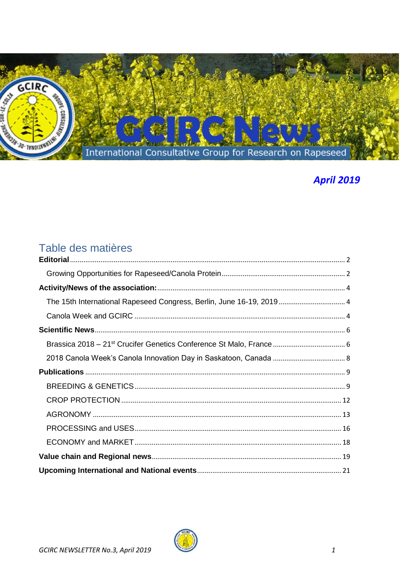

# **April 2019**

# Table des matières

| The 15th International Rapeseed Congress, Berlin, June 16-19, 2019 4 |  |
|----------------------------------------------------------------------|--|
|                                                                      |  |
|                                                                      |  |
|                                                                      |  |
|                                                                      |  |
|                                                                      |  |
|                                                                      |  |
|                                                                      |  |
|                                                                      |  |
|                                                                      |  |
|                                                                      |  |
|                                                                      |  |
|                                                                      |  |

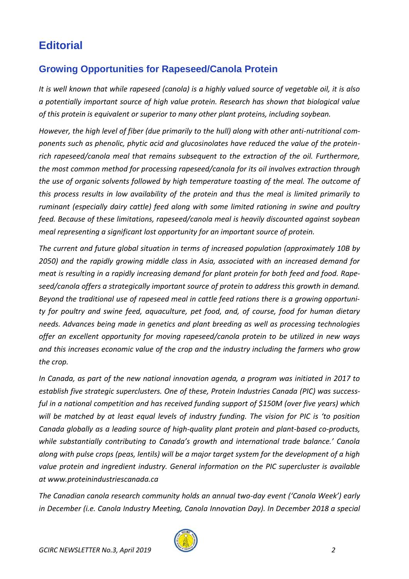# <span id="page-1-1"></span><span id="page-1-0"></span>**Editorial**

## **Growing Opportunities for Rapeseed/Canola Protein**

*It is well known that while rapeseed (canola) is a highly valued source of vegetable oil, it is also a potentially important source of high value protein. Research has shown that biological value of this protein is equivalent or superior to many other plant proteins, including soybean.*

*However, the high level of fiber (due primarily to the hull) along with other anti-nutritional components such as phenolic, phytic acid and glucosinolates have reduced the value of the proteinrich rapeseed/canola meal that remains subsequent to the extraction of the oil. Furthermore, the most common method for processing rapeseed/canola for its oil involves extraction through the use of organic solvents followed by high temperature toasting of the meal. The outcome of this process results in low availability of the protein and thus the meal is limited primarily to ruminant (especially dairy cattle) feed along with some limited rationing in swine and poultry feed. Because of these limitations, rapeseed/canola meal is heavily discounted against soybean meal representing a significant lost opportunity for an important source of protein.*

*The current and future global situation in terms of increased population (approximately 10B by 2050) and the rapidly growing middle class in Asia, associated with an increased demand for meat is resulting in a rapidly increasing demand for plant protein for both feed and food. Rapeseed/canola offers a strategically important source of protein to address this growth in demand. Beyond the traditional use of rapeseed meal in cattle feed rations there is a growing opportunity for poultry and swine feed, aquaculture, pet food, and, of course, food for human dietary needs. Advances being made in genetics and plant breeding as well as processing technologies offer an excellent opportunity for moving rapeseed/canola protein to be utilized in new ways and this increases economic value of the crop and the industry including the farmers who grow the crop.*

*In Canada, as part of the new national innovation agenda, a program was initiated in 2017 to establish five strategic superclusters. One of these, Protein Industries Canada (PIC) was successful in a national competition and has received funding support of \$150M (over five years) which will be matched by at least equal levels of industry funding. The vision for PIC is 'to position Canada globally as a leading source of high-quality plant protein and plant-based co-products, while substantially contributing to Canada's growth and international trade balance.' Canola along with pulse crops (peas, lentils) will be a major target system for the development of a high value protein and ingredient industry. General information on the PIC supercluster is available at www.proteinindustriescanada.ca*

*The Canadian canola research community holds an annual two-day event ('Canola Week') early in December (i.e. Canola Industry Meeting, Canola Innovation Day). In December 2018 a special* 

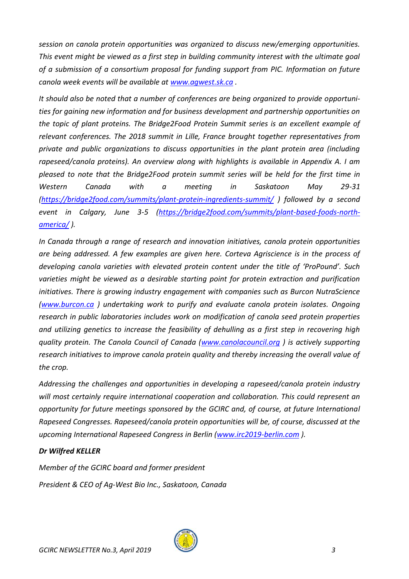*session on canola protein opportunities was organized to discuss new/emerging opportunities. This event might be viewed as a first step in building community interest with the ultimate goal of a submission of a consortium proposal for funding support from PIC. Information on future canola week events will be available at [www.agwest.sk.ca](http://www.agwest.sk.ca/) .*

*It should also be noted that a number of conferences are being organized to provide opportunities for gaining new information and for business development and partnership opportunities on the topic of plant proteins. The Bridge2Food Protein Summit series is an excellent example of relevant conferences. The 2018 summit in Lille, France brought together representatives from private and public organizations to discuss opportunities in the plant protein area (including rapeseed/canola proteins). An overview along with highlights is available in Appendix A. I am pleased to note that the Bridge2Food protein summit series will be held for the first time in Western Canada with a meeting in Saskatoon May 29-31 [\(https://bridge2food.com/summits/plant-protein-ingredients-summit/](https://bridge2food.com/summits/plant-protein-ingredients-summit/) ) followed by a second event in Calgary, June 3-5 [\(https://bridge2food.com/summits/plant-based-foods-north](https://bridge2food.com/summits/plant-based-foods-north-america/)[america/](https://bridge2food.com/summits/plant-based-foods-north-america/) ).*

*In Canada through a range of research and innovation initiatives, canola protein opportunities are being addressed. A few examples are given here. Corteva Agriscience is in the process of developing canola varieties with elevated protein content under the title of 'ProPound'. Such varieties might be viewed as a desirable starting point for protein extraction and purification initiatives. There is growing industry engagement with companies such as Burcon NutraScience [\(www.burcon.ca](http://www.burcon.ca/) ) undertaking work to purify and evaluate canola protein isolates. Ongoing research in public laboratories includes work on modification of canola seed protein properties and utilizing genetics to increase the feasibility of dehulling as a first step in recovering high quality protein. The Canola Council of Canada [\(www.canolacouncil.org](http://www.canolacouncil.org/) ) is actively supporting research initiatives to improve canola protein quality and thereby increasing the overall value of the crop.*

*Addressing the challenges and opportunities in developing a rapeseed/canola protein industry will most certainly require international cooperation and collaboration. This could represent an opportunity for future meetings sponsored by the GCIRC and, of course, at future International Rapeseed Congresses. Rapeseed/canola protein opportunities will be, of course, discussed at the upcoming International Rapeseed Congress in Berlin [\(www.irc2019-berlin.com](http://www.irc2019-berlin.com/) ).*

#### *Dr Wilfred KELLER*

*Member of the GCIRC board and former president President & CEO of Ag-West Bio Inc., Saskatoon, Canada*

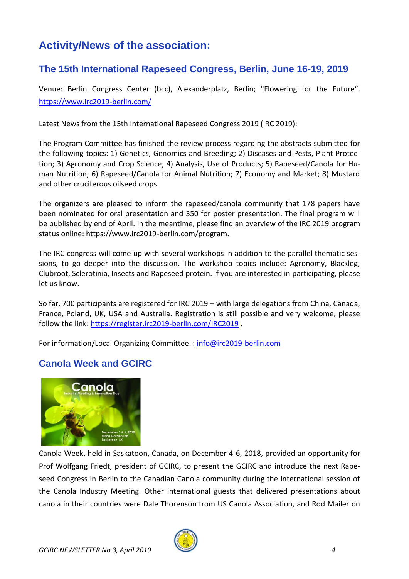# <span id="page-3-0"></span>**Activity/News of the association:**

## <span id="page-3-1"></span>**The 15th International Rapeseed Congress, Berlin, June 16-19, 2019**

Venue: Berlin Congress Center (bcc), Alexanderplatz, Berlin; "Flowering for the Future". <https://www.irc2019-berlin.com/>

<span id="page-3-2"></span>Latest News from the 15th International Rapeseed Congress 2019 (IRC 2019):

The Program Committee has finished the review process regarding the abstracts submitted for the following topics: 1) Genetics, Genomics and Breeding; 2) Diseases and Pests, Plant Protection; 3) Agronomy and Crop Science; 4) Analysis, Use of Products; 5) Rapeseed/Canola for Human Nutrition; 6) Rapeseed/Canola for Animal Nutrition; 7) Economy and Market; 8) Mustard and other cruciferous oilseed crops.

The organizers are pleased to inform the rapeseed/canola community that 178 papers have been nominated for oral presentation and 350 for poster presentation. The final program will be published by end of April. In the meantime, please find an overview of the IRC 2019 program status online: https://www.irc2019-berlin.com/program.

The IRC congress will come up with several workshops in addition to the parallel thematic sessions, to go deeper into the discussion. The workshop topics include: Agronomy, Blackleg, Clubroot, Sclerotinia, Insects and Rapeseed protein. If you are interested in participating, please let us know.

So far, 700 participants are registered for IRC 2019 – with large delegations from China, Canada, France, Poland, UK, USA and Australia. Registration is still possible and very welcome, please follow the link:<https://register.irc2019-berlin.com/IRC2019> .

For information/Local Organizing Committee : [info@irc2019-berlin.com](mailto:info@irc2019-berlin.com)

## **Canola Week and GCIRC**



Canola Week, held in Saskatoon, Canada, on December 4-6, 2018, provided an opportunity for Prof Wolfgang Friedt, president of GCIRC, to present the GCIRC and introduce the next Rapeseed Congress in Berlin to the Canadian Canola community during the international session of the Canola Industry Meeting. Other international guests that delivered presentations about canola in their countries were Dale Thorenson from US Canola Association, and Rod Mailer on

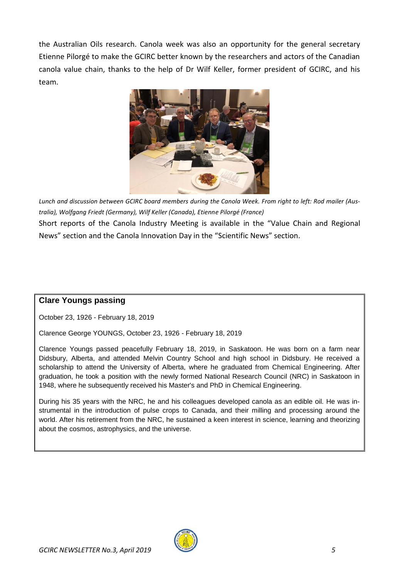the Australian Oils research. Canola week was also an opportunity for the general secretary Etienne Pilorgé to make the GCIRC better known by the researchers and actors of the Canadian canola value chain, thanks to the help of Dr Wilf Keller, former president of GCIRC, and his team.



*Lunch and discussion between GCIRC board members during the Canola Week. From right to left: Rod mailer (Australia), Wolfgang Friedt (Germany), Wilf Keller (Canada), Etienne Pilorgé (France)*

Short reports of the Canola Industry Meeting is available in the "Value Chain and Regional News" section and the Canola Innovation Day in the "Scientific News" section.

## **Clare Youngs passing**

October 23, 1926 - February 18, 2019

Clarence George YOUNGS, October 23, 1926 - February 18, 2019

Clarence Youngs passed peacefully February 18, 2019, in Saskatoon. He was born on a farm near Didsbury, Alberta, and attended Melvin Country School and high school in Didsbury. He received a scholarship to attend the University of Alberta, where he graduated from Chemical Engineering. After graduation, he took a position with the newly formed National Research Council (NRC) in Saskatoon in 1948, where he subsequently received his Master's and PhD in Chemical Engineering.

During his 35 years with the NRC, he and his colleagues developed canola as an edible oil. He was instrumental in the introduction of pulse crops to Canada, and their milling and processing around the world. After his retirement from the NRC, he sustained a keen interest in science, learning and theorizing about the cosmos, astrophysics, and the universe.

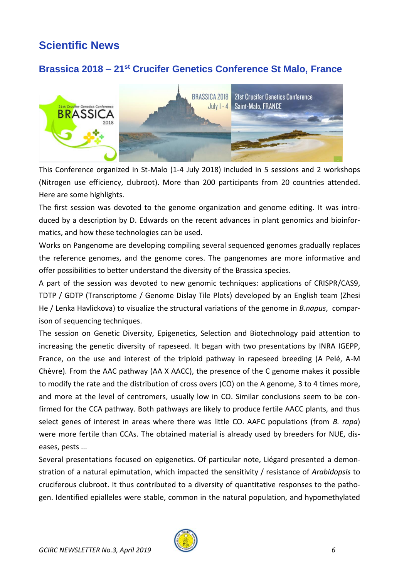# <span id="page-5-0"></span>**Scientific News**

## <span id="page-5-1"></span>**Brassica 2018 – 21st Crucifer Genetics Conference St Malo, France**



This Conference organized in St-Malo (1-4 July 2018) included in 5 sessions and 2 workshops (Nitrogen use efficiency, clubroot). More than 200 participants from 20 countries attended. Here are some highlights.

The first session was devoted to the genome organization and genome editing. It was introduced by a description by D. Edwards on the recent advances in plant genomics and bioinformatics, and how these technologies can be used.

Works on Pangenome are developing compiling several sequenced genomes gradually replaces the reference genomes, and the genome cores. The pangenomes are more informative and offer possibilities to better understand the diversity of the Brassica species.

A part of the session was devoted to new genomic techniques: applications of CRISPR/CAS9, TDTP / GDTP (Transcriptome / Genome Dislay Tile Plots) developed by an English team (Zhesi He / Lenka Havlickova) to visualize the structural variations of the genome in *B.napus*, comparison of sequencing techniques.

The session on Genetic Diversity, Epigenetics, Selection and Biotechnology paid attention to increasing the genetic diversity of rapeseed. It began with two presentations by INRA IGEPP, France, on the use and interest of the triploid pathway in rapeseed breeding (A Pelé, A-M Chèvre). From the AAC pathway (AA X AACC), the presence of the C genome makes it possible to modify the rate and the distribution of cross overs (CO) on the A genome, 3 to 4 times more, and more at the level of centromers, usually low in CO. Similar conclusions seem to be confirmed for the CCA pathway. Both pathways are likely to produce fertile AACC plants, and thus select genes of interest in areas where there was little CO. AAFC populations (from *B. rapa*) were more fertile than CCAs. The obtained material is already used by breeders for NUE, diseases, pests ...

Several presentations focused on epigenetics. Of particular note, Liégard presented a demonstration of a natural epimutation, which impacted the sensitivity / resistance of *Arabidopsis* to cruciferous clubroot. It thus contributed to a diversity of quantitative responses to the pathogen. Identified epialleles were stable, common in the natural population, and hypomethylated

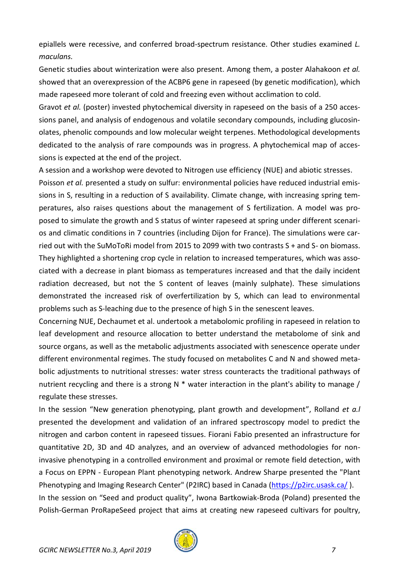epiallels were recessive, and conferred broad-spectrum resistance. Other studies examined *L. maculans.*

Genetic studies about winterization were also present. Among them, a poster Alahakoon *et al.* showed that an overexpression of the ACBP6 gene in rapeseed (by genetic modification), which made rapeseed more tolerant of cold and freezing even without acclimation to cold.

Gravot *et al.* (poster) invested phytochemical diversity in rapeseed on the basis of a 250 accessions panel, and analysis of endogenous and volatile secondary compounds, including glucosinolates, phenolic compounds and low molecular weight terpenes. Methodological developments dedicated to the analysis of rare compounds was in progress. A phytochemical map of accessions is expected at the end of the project.

A session and a workshop were devoted to Nitrogen use efficiency (NUE) and abiotic stresses.

Poisson *et al.* presented a study on sulfur: environmental policies have reduced industrial emissions in S, resulting in a reduction of S availability. Climate change, with increasing spring temperatures, also raises questions about the management of S fertilization. A model was proposed to simulate the growth and S status of winter rapeseed at spring under different scenarios and climatic conditions in 7 countries (including Dijon for France). The simulations were carried out with the SuMoToRi model from 2015 to 2099 with two contrasts S + and S- on biomass. They highlighted a shortening crop cycle in relation to increased temperatures, which was associated with a decrease in plant biomass as temperatures increased and that the daily incident radiation decreased, but not the S content of leaves (mainly sulphate). These simulations demonstrated the increased risk of overfertilization by S, which can lead to environmental problems such as S-leaching due to the presence of high S in the senescent leaves.

Concerning NUE, Dechaumet et al. undertook a metabolomic profiling in rapeseed in relation to leaf development and resource allocation to better understand the metabolome of sink and source organs, as well as the metabolic adjustments associated with senescence operate under different environmental regimes. The study focused on metabolites C and N and showed metabolic adjustments to nutritional stresses: water stress counteracts the traditional pathways of nutrient recycling and there is a strong  $N *$  water interaction in the plant's ability to manage / regulate these stresses.

In the session "New generation phenotyping, plant growth and development", Rolland *et a.l* presented the development and validation of an infrared spectroscopy model to predict the nitrogen and carbon content in rapeseed tissues. Fiorani Fabio presented an infrastructure for quantitative 2D, 3D and 4D analyzes, and an overview of advanced methodologies for noninvasive phenotyping in a controlled environment and proximal or remote field detection, with a Focus on EPPN - European Plant phenotyping network. Andrew Sharpe presented the "Plant Phenotyping and Imaging Research Center" (P2IRC) based in Canada [\(https://p2irc.usask.ca/](https://p2irc.usask.ca/) ). In the session on "Seed and product quality", Iwona Bartkowiak-Broda (Poland) presented the Polish-German ProRapeSeed project that aims at creating new rapeseed cultivars for poultry,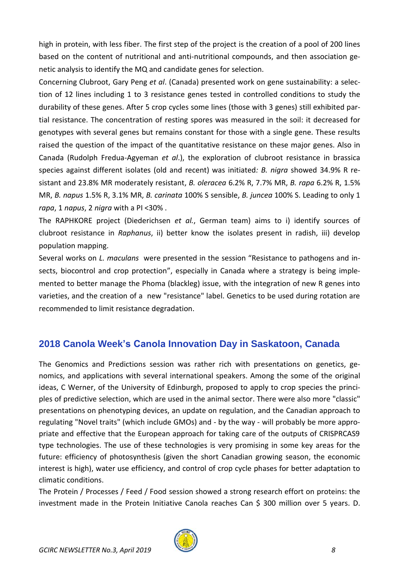high in protein, with less fiber. The first step of the project is the creation of a pool of 200 lines based on the content of nutritional and anti-nutritional compounds, and then association genetic analysis to identify the MQ and candidate genes for selection.

Concerning Clubroot, Gary Peng *et al*. (Canada) presented work on gene sustainability: a selection of 12 lines including 1 to 3 resistance genes tested in controlled conditions to study the durability of these genes. After 5 crop cycles some lines (those with 3 genes) still exhibited partial resistance. The concentration of resting spores was measured in the soil: it decreased for genotypes with several genes but remains constant for those with a single gene. These results raised the question of the impact of the quantitative resistance on these major genes. Also in Canada (Rudolph Fredua-Agyeman *et al*.), the exploration of clubroot resistance in brassica species against different isolates (old and recent) was initiated*: B. nigra* showed 34.9% R resistant and 23.8% MR moderately resistant, *B. oleracea* 6.2% R, 7.7% MR, *B. rapa* 6.2% R, 1.5% MR, *B. napus* 1.5% R, 3.1% MR, *B. carinata* 100% S sensible, *B. juncea* 100% S. Leading to only 1 *rapa*, 1 *napus*, 2 *nigra* with a PI <30% .

The RAPHKORE project (Diederichsen *et al.*, German team) aims to i) identify sources of clubroot resistance in *Raphanus*, ii) better know the isolates present in radish, iii) develop population mapping.

Several works on *L. maculans* were presented in the session "Resistance to pathogens and insects, biocontrol and crop protection", especially in Canada where a strategy is being implemented to better manage the Phoma (blackleg) issue, with the integration of new R genes into varieties, and the creation of a new "resistance" label. Genetics to be used during rotation are recommended to limit resistance degradation.

## <span id="page-7-0"></span>**2018 Canola Week's Canola Innovation Day in Saskatoon, Canada**

The Genomics and Predictions session was rather rich with presentations on genetics, genomics, and applications with several international speakers. Among the some of the original ideas, C Werner, of the University of Edinburgh, proposed to apply to crop species the principles of predictive selection, which are used in the animal sector. There were also more "classic" presentations on phenotyping devices, an update on regulation, and the Canadian approach to regulating "Novel traits" (which include GMOs) and - by the way - will probably be more appropriate and effective that the European approach for taking care of the outputs of CRISPRCAS9 type technologies. The use of these technologies is very promising in some key areas for the future: efficiency of photosynthesis (given the short Canadian growing season, the economic interest is high), water use efficiency, and control of crop cycle phases for better adaptation to climatic conditions.

The Protein / Processes / Feed / Food session showed a strong research effort on proteins: the investment made in the Protein Initiative Canola reaches Can \$ 300 million over 5 years. D.

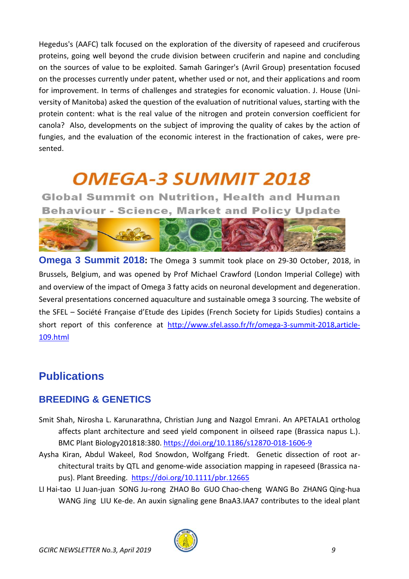Hegedus's (AAFC) talk focused on the exploration of the diversity of rapeseed and cruciferous proteins, going well beyond the crude division between cruciferin and napine and concluding on the sources of value to be exploited. Samah Garinger's (Avril Group) presentation focused on the processes currently under patent, whether used or not, and their applications and room for improvement. In terms of challenges and strategies for economic valuation. J. House (University of Manitoba) asked the question of the evaluation of nutritional values, starting with the protein content: what is the real value of the nitrogen and protein conversion coefficient for canola? Also, developments on the subject of improving the quality of cakes by the action of fungies, and the evaluation of the economic interest in the fractionation of cakes, were presented.

# **OMEGA-3 SUMMIT 2018**

**Global Summit on Nutrition, Health and Human Behaviour - Science, Market and Policy Update** 



**Omega 3 Summit 2018:** The Omega 3 summit took place on 29-30 October, 2018, in Brussels, Belgium, and was opened by Prof Michael Crawford (London Imperial College) with and overview of the impact of Omega 3 fatty acids on neuronal development and degeneration. Several presentations concerned aquaculture and sustainable omega 3 sourcing. The website of the SFEL – Société Française d'Etude des Lipides (French Society for Lipids Studies) contains a short report of this conference at [http://www.sfel.asso.fr/fr/omega-3-summit-2018,article-](http://www.sfel.asso.fr/fr/omega-3-summit-2018,article-109.html)[109.html](http://www.sfel.asso.fr/fr/omega-3-summit-2018,article-109.html)

# <span id="page-8-0"></span>**Publications**

## <span id="page-8-1"></span>**BREEDING & GENETICS**

- Smit Shah, Nirosha L. Karunarathna, Christian Jung and Nazgol Emrani. An APETALA1 ortholog affects plant architecture and seed yield component in oilseed rape (Brassica napus L.). BMC Plant Biology201818:380.<https://doi.org/10.1186/s12870-018-1606-9>
- Aysha Kiran, Abdul Wakeel, Rod Snowdon, Wolfgang Friedt. Genetic dissection of root architectural traits by QTL and genome‐wide association mapping in rapeseed (Brassica napus). Plant Breeding. <https://doi.org/10.1111/pbr.12665>
- LI Hai-tao LI Juan-juan SONG Ju-rong ZHAO Bo GUO Chao-cheng WANG Bo ZHANG Qing-hua WANG Jing LIU Ke-de. An auxin signaling gene BnaA3.IAA7 contributes to the ideal plant

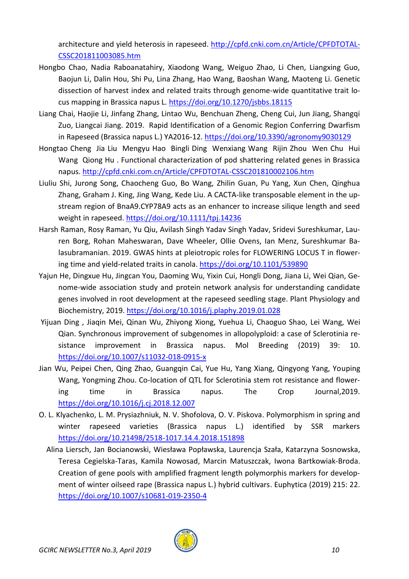architecture and yield heterosis in rapeseed. [http://cpfd.cnki.com.cn/Article/CPFDTOTAL-](http://cpfd.cnki.com.cn/Article/CPFDTOTAL-CSSC201811003085.htm)[CSSC201811003085.htm](http://cpfd.cnki.com.cn/Article/CPFDTOTAL-CSSC201811003085.htm)

- Hongbo Chao, Nadia Raboanatahiry, Xiaodong Wang, Weiguo Zhao, Li Chen, Liangxing Guo, Baojun Li, Dalin Hou, Shi Pu, Lina Zhang, Hao Wang, Baoshan Wang, Maoteng Li. Genetic dissection of harvest index and related traits through genome-wide quantitative trait locus mapping in Brassica napus L.<https://doi.org/10.1270/jsbbs.18115>
- Liang Chai, Haojie Li, Jinfang Zhang, Lintao Wu, Benchuan Zheng, Cheng Cui, Jun Jiang, Shangqi Zuo, Liangcai Jiang. 2019. Rapid Identification of a Genomic Region Conferring Dwarfism in Rapeseed (Brassica napus L.) YA2016-12.<https://doi.org/10.3390/agronomy9030129>
- Hongtao Cheng Jia Liu Mengyu Hao Bingli Ding Wenxiang Wang Rijin Zhou Wen Chu Hui Wang Qiong Hu . Functional characterization of pod shattering related genes in Brassica napus.<http://cpfd.cnki.com.cn/Article/CPFDTOTAL-CSSC201810002106.htm>
- Liuliu Shi, Jurong Song, Chaocheng Guo, Bo Wang, Zhilin Guan, Pu Yang, Xun Chen, Qinghua Zhang, Graham J. King, Jing Wang, Kede Liu. A CACTA‐like transposable element in the up‐ stream region of BnaA9.CYP78A9 acts as an enhancer to increase silique length and seed weight in rapeseed.<https://doi.org/10.1111/tpj.14236>
- Harsh Raman, Rosy Raman, Yu Qiu, Avilash Singh Yadav Singh Yadav, Sridevi Sureshkumar, Lauren Borg, Rohan Maheswaran, Dave Wheeler, Ollie Ovens, Ian Menz, Sureshkumar Balasubramanian. 2019. GWAS hints at pleiotropic roles for FLOWERING LOCUS T in flowering time and yield-related traits in canola[. https://doi.org/10.1101/539890](https://doi.org/10.1101/539890)
- Yajun He, Dingxue Hu, Jingcan You, Daoming Wu, Yixin Cui, Hongli Dong, Jiana Li, Wei Qian, Genome-wide association study and protein network analysis for understanding candidate genes involved in root development at the rapeseed seedling stage. Plant Physiology and Biochemistry, 2019.<https://doi.org/10.1016/j.plaphy.2019.01.028>
- Yijuan Ding , Jiaqin Mei, Qinan Wu, Zhiyong Xiong, Yuehua Li, Chaoguo Shao, Lei Wang, Wei Qian. Synchronous improvement of subgenomes in allopolyploid: a case of Sclerotinia resistance improvement in Brassica napus. Mol Breeding (2019) 39: 10. <https://doi.org/10.1007/s11032-018-0915-x>
- Jian Wu, Peipei Chen, Qing Zhao, Guangqin Cai, Yue Hu, Yang Xiang, Qingyong Yang, Youping Wang, Yongming Zhou. Co-location of QTL for Sclerotinia stem rot resistance and flowering time in Brassica napus. The Crop Journal,2019. <https://doi.org/10.1016/j.cj.2018.12.007>
- O. L. Klyachenko, L. M. Prysiazhniuk, N. V. Shofolova, O. V. Piskova. Polymorphism in spring and winter rapeseed varieties (Brassica napus L.) identified by SSR markers <https://doi.org/10.21498/2518-1017.14.4.2018.151898>
	- Alina Liersch, Jan Bocianowski, Wiesława Popławska, Laurencja Szała, Katarzyna Sosnowska, Teresa Cegielska-Taras, Kamila Nowosad, Marcin Matuszczak, Iwona Bartkowiak-Broda. Creation of gene pools with amplified fragment length polymorphis markers for development of winter oilseed rape (Brassica napus L.) hybrid cultivars. Euphytica (2019) 215: 22. <https://doi.org/10.1007/s10681-019-2350-4>

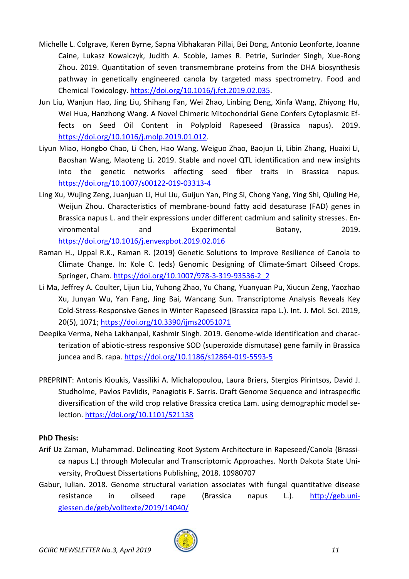- Michelle L. Colgrave, Keren Byrne, Sapna Vibhakaran Pillai, Bei Dong, Antonio Leonforte, Joanne Caine, Lukasz Kowalczyk, Judith A. Scoble, James R. Petrie, Surinder Singh, Xue-Rong Zhou. 2019. Quantitation of seven transmembrane proteins from the DHA biosynthesis pathway in genetically engineered canola by targeted mass spectrometry. Food and Chemical Toxicology. [https://doi.org/10.1016/j.fct.2019.02.035.](https://doi.org/10.1016/j.fct.2019.02.035)
- Jun Liu, Wanjun Hao, Jing Liu, Shihang Fan, Wei Zhao, Linbing Deng, Xinfa Wang, Zhiyong Hu, Wei Hua, Hanzhong Wang. A Novel Chimeric Mitochondrial Gene Confers Cytoplasmic Effects on Seed Oil Content in Polyploid Rapeseed (Brassica napus). 2019. [https://doi.org/10.1016/j.molp.2019.01.012.](https://doi.org/10.1016/j.molp.2019.01.012)
- Liyun Miao, Hongbo Chao, Li Chen, Hao Wang, Weiguo Zhao, Baojun Li, Libin Zhang, Huaixi Li, Baoshan Wang, Maoteng Li. 2019. Stable and novel QTL identification and new insights into the genetic networks affecting seed fiber traits in Brassica napus. <https://doi.org/10.1007/s00122-019-03313-4>
- Ling Xu, Wujing Zeng, Juanjuan Li, Hui Liu, Guijun Yan, Ping Si, Chong Yang, Ying Shi, Qiuling He, Weijun Zhou. Characteristics of membrane-bound fatty acid desaturase (FAD) genes in Brassica napus L. and their expressions under different cadmium and salinity stresses. Environmental and Experimental Botany, 2019. <https://doi.org/10.1016/j.envexpbot.2019.02.016>
- Raman H., Uppal R.K., Raman R. (2019) Genetic Solutions to Improve Resilience of Canola to Climate Change. In: Kole C. (eds) Genomic Designing of Climate-Smart Oilseed Crops. Springer, Cham. [https://doi.org/10.1007/978-3-319-93536-2\\_2](https://doi.org/10.1007/978-3-319-93536-2_2)
- Li Ma, Jeffrey A. Coulter, Lijun Liu, Yuhong Zhao, Yu Chang, Yuanyuan Pu, Xiucun Zeng, Yaozhao Xu, Junyan Wu, Yan Fang, Jing Bai, Wancang Sun. Transcriptome Analysis Reveals Key Cold-Stress-Responsive Genes in Winter Rapeseed (Brassica rapa L.). Int. J. Mol. Sci. 2019, 20(5), 1071;<https://doi.org/10.3390/ijms20051071>
- Deepika Verma, Neha Lakhanpal, Kashmir Singh. 2019. Genome-wide identification and characterization of abiotic-stress responsive SOD (superoxide dismutase) gene family in Brassica juncea and B. rapa.<https://doi.org/10.1186/s12864-019-5593-5>
- PREPRINT: Antonis Kioukis, Vassiliki A. Michalopoulou, Laura Briers, Stergios Pirintsos, David J. Studholme, Pavlos Pavlidis, Panagiotis F. Sarris. Draft Genome Sequence and intraspecific diversification of the wild crop relative Brassica cretica Lam. using demographic model selection.<https://doi.org/10.1101/521138>

#### **PhD Thesis:**

- Arif Uz Zaman, Muhammad. Delineating Root System Architecture in Rapeseed/Canola (Brassica napus L.) through Molecular and Transcriptomic Approaches. North Dakota State University, ProQuest Dissertations Publishing, 2018. 10980707
- Gabur, Iulian. 2018. Genome structural variation associates with fungal quantitative disease resistance in oilseed rape (Brassica napus L.). [http://geb.uni](http://geb.uni-giessen.de/geb/volltexte/2019/14040/)[giessen.de/geb/volltexte/2019/14040/](http://geb.uni-giessen.de/geb/volltexte/2019/14040/)

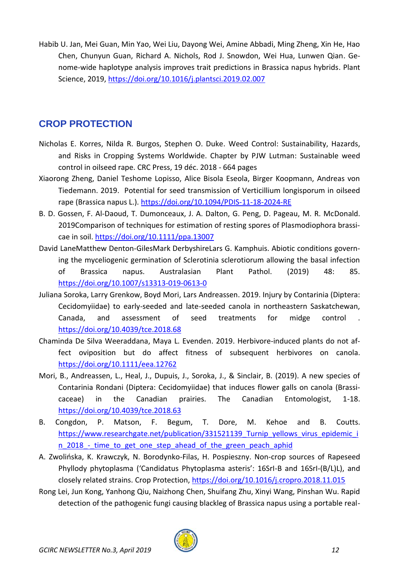Habib U. Jan, Mei Guan, Min Yao, Wei Liu, Dayong Wei, Amine Abbadi, Ming Zheng, Xin He, Hao Chen, Chunyun Guan, Richard A. Nichols, Rod J. Snowdon, Wei Hua, Lunwen Qian. Genome-wide haplotype analysis improves trait predictions in Brassica napus hybrids. Plant Science, 2019,<https://doi.org/10.1016/j.plantsci.2019.02.007>

## <span id="page-11-0"></span>**CROP PROTECTION**

- Nicholas E. Korres, Nilda R. Burgos, Stephen O. Duke. Weed Control: Sustainability, Hazards, and Risks in Cropping Systems Worldwide. Chapter by PJW Lutman: Sustainable weed control in oilseed rape. CRC Press, 19 déc. 2018 - 664 pages
- Xiaorong Zheng, Daniel Teshome Lopisso, Alice Bisola Eseola, Birger Koopmann, Andreas von Tiedemann. 2019. Potential for seed transmission of Verticillium longisporum in oilseed rape (Brassica napus L.).<https://doi.org/10.1094/PDIS-11-18-2024-RE>
- B. D. Gossen, F. Al‐Daoud, T. Dumonceaux, J. A. Dalton, G. Peng, D. Pageau, M. R. McDonald. 2019Comparison of techniques for estimation of resting spores of Plasmodiophora brassicae in soil.<https://doi.org/10.1111/ppa.13007>
- David LaneMatthew Denton-GilesMark DerbyshireLars G. Kamphuis. Abiotic conditions governing the myceliogenic germination of Sclerotinia sclerotiorum allowing the basal infection of Brassica napus. Australasian Plant Pathol. (2019) 48: 85. <https://doi.org/10.1007/s13313-019-0613-0>
- Juliana Soroka, Larry Grenkow, Boyd Mori, Lars Andreassen. 2019. Injury by Contarinia (Diptera: Cecidomyiidae) to early-seeded and late-seeded canola in northeastern Saskatchewan, Canada, and assessment of seed treatments for midge control <https://doi.org/10.4039/tce.2018.68>
- Chaminda De Silva Weeraddana, Maya L. Evenden. 2019. Herbivore‐induced plants do not af‐ fect oviposition but do affect fitness of subsequent herbivores on canola. <https://doi.org/10.1111/eea.12762>
- Mori, B., Andreassen, L., Heal, J., Dupuis, J., Soroka, J., & Sinclair, B. (2019). A new species of Contarinia Rondani (Diptera: Cecidomyiidae) that induces flower galls on canola (Brassicaceae) in the Canadian prairies. The Canadian Entomologist, 1-18. <https://doi.org/10.4039/tce.2018.63>
- B. Congdon, P. Matson, F. Begum, T. Dore, M. Kehoe and B. Coutts. https://www.researchgate.net/publication/331521139 Turnip\_yellows\_virus\_epidemic\_i n 2018 - time to get one step ahead of the green peach aphid
- A. Zwolińska, K. Krawczyk, N. Borodynko-Filas, H. Pospieszny. Non-crop sources of Rapeseed Phyllody phytoplasma ('Candidatus Phytoplasma asteris': 16SrI-B and 16SrI-(B/L)L), and closely related strains. Crop Protection, <https://doi.org/10.1016/j.cropro.2018.11.015>
- Rong Lei, Jun Kong, Yanhong Qiu, Naizhong Chen, Shuifang Zhu, Xinyi Wang, Pinshan Wu. Rapid detection of the pathogenic fungi causing blackleg of Brassica napus using a portable real-

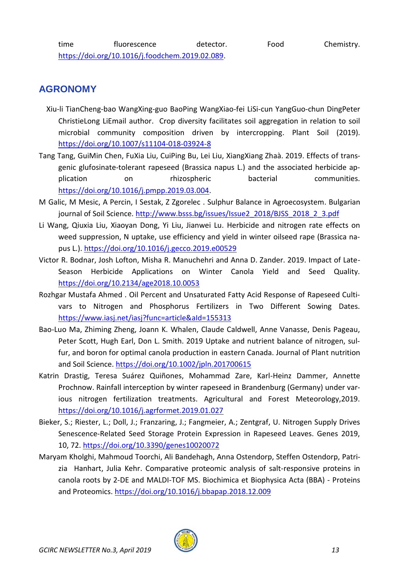## <span id="page-12-0"></span>**AGRONOMY**

- Xiu-li TianCheng-bao WangXing-guo BaoPing WangXiao-fei LiSi-cun YangGuo-chun DingPeter ChristieLong LiEmail author. Crop diversity facilitates soil aggregation in relation to soil microbial community composition driven by intercropping. Plant Soil (2019). <https://doi.org/10.1007/s11104-018-03924-8>
- Tang Tang, GuiMin Chen, FuXia Liu, CuiPing Bu, Lei Liu, XiangXiang Zhaà. 2019. Effects of transgenic glufosinate-tolerant rapeseed (Brassica napus L.) and the associated herbicide application on rhizospheric bacterial communities. [https://doi.org/10.1016/j.pmpp.2019.03.004.](https://doi.org/10.1016/j.pmpp.2019.03.004)
- M Galic, M Mesic, A Percin, I Sestak, Z Zgorelec . Sulphur Balance in Agroecosystem. Bulgarian journal of Soil Science. [http://www.bsss.bg/issues/Issue2\\_2018/BJSS\\_2018\\_2\\_3.pdf](http://www.bsss.bg/issues/Issue2_2018/BJSS_2018_2_3.pdf)
- Li Wang, Qiuxia Liu, Xiaoyan Dong, Yi Liu, Jianwei Lu. Herbicide and nitrogen rate effects on weed suppression, N uptake, use efficiency and yield in winter oilseed rape (Brassica napus L.).<https://doi.org/10.1016/j.gecco.2019.e00529>
- Victor R. Bodnar, Josh Lofton, Misha R. Manuchehri and Anna D. Zander. 2019. Impact of Late-Season Herbicide Applications on Winter Canola Yield and Seed Quality. <https://doi.org/10.2134/age2018.10.0053>
- Rozhgar Mustafa Ahmed . Oil Percent and Unsaturated Fatty Acid Response of Rapeseed Cultivars to Nitrogen and Phosphorus Fertilizers in Two Different Sowing Dates. <https://www.iasj.net/iasj?func=article&aId=155313>
- Bao-Luo Ma, Zhiming Zheng, Joann K. Whalen, Claude Caldwell, Anne Vanasse, Denis Pageau, Peter Scott, Hugh Earl, Don L. Smith. 2019 Uptake and nutrient balance of nitrogen, sulfur, and boron for optimal canola production in eastern Canada. Journal of Plant nutrition and Soil Science.<https://doi.org/10.1002/jpln.201700615>
- Katrin Drastig, Teresa Suárez Quiñones, Mohammad Zare, Karl-Heinz Dammer, Annette Prochnow. Rainfall interception by winter rapeseed in Brandenburg (Germany) under various nitrogen fertilization treatments. Agricultural and Forest Meteorology,2019. <https://doi.org/10.1016/j.agrformet.2019.01.027>
- Bieker, S.; Riester, L.; Doll, J.; Franzaring, J.; Fangmeier, A.; Zentgraf, U. Nitrogen Supply Drives Senescence-Related Seed Storage Protein Expression in Rapeseed Leaves. Genes 2019, 10, 72.<https://doi.org/10.3390/genes10020072>
- Maryam Kholghi, Mahmoud Toorchi, Ali Bandehagh, Anna Ostendorp, Steffen Ostendorp, Patrizia Hanhart, Julia Kehr. Comparative proteomic analysis of salt-responsive proteins in canola roots by 2-DE and MALDI-TOF MS. Biochimica et Biophysica Acta (BBA) - Proteins and Proteomics.<https://doi.org/10.1016/j.bbapap.2018.12.009>

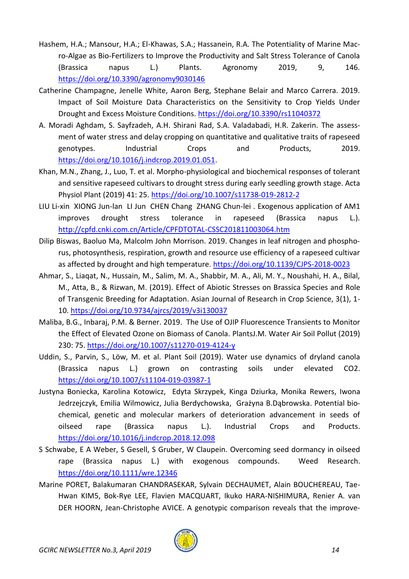- Hashem, H.A.; Mansour, H.A.; El-Khawas, S.A.; Hassanein, R.A. The Potentiality of Marine Macro-Algae as Bio-Fertilizers to Improve the Productivity and Salt Stress Tolerance of Canola (Brassica napus L.) Plants. Agronomy 2019, 9, 146. <https://doi.org/10.3390/agronomy9030146>
- Catherine Champagne, Jenelle White, Aaron Berg, Stephane Belair and Marco Carrera. 2019. Impact of Soil Moisture Data Characteristics on the Sensitivity to Crop Yields Under Drought and Excess Moisture Conditions.<https://doi.org/10.3390/rs11040372>
- A. Moradi Aghdam, S. Sayfzadeh, A.H. Shirani Rad, S.A. Valadabadi, H.R. Zakerin. The assessment of water stress and delay cropping on quantitative and qualitative traits of rapeseed genotypes. Industrial Crops and Products, 2019. [https://doi.org/10.1016/j.indcrop.2019.01.051.](https://doi.org/10.1016/j.indcrop.2019.01.051)
- Khan, M.N., Zhang, J., Luo, T. et al. Morpho-physiological and biochemical responses of tolerant and sensitive rapeseed cultivars to drought stress during early seedling growth stage. Acta Physiol Plant (2019) 41: 25.<https://doi.org/10.1007/s11738-019-2812-2>
- LIU Li-xin XIONG Jun-lan LI Jun CHEN Chang ZHANG Chun-lei . Exogenous application of AM1 improves drought stress tolerance in rapeseed (Brassica napus L.). <http://cpfd.cnki.com.cn/Article/CPFDTOTAL-CSSC201811003064.htm>
- Dilip Biswas, Baoluo Ma, Malcolm John Morrison. 2019. Changes in leaf nitrogen and phosphorus, photosynthesis, respiration, growth and resource use efficiency of a rapeseed cultivar as affected by drought and high temperature.<https://doi.org/10.1139/CJPS-2018-0023>
- Ahmar, S., Liaqat, N., Hussain, M., Salim, M. A., Shabbir, M. A., Ali, M. Y., Noushahi, H. A., Bilal, M., Atta, B., & Rizwan, M. (2019). Effect of Abiotic Stresses on Brassica Species and Role of Transgenic Breeding for Adaptation. Asian Journal of Research in Crop Science, 3(1), 1- 10.<https://doi.org/10.9734/ajrcs/2019/v3i130037>
- Maliba, B.G., Inbaraj, P.M. & Berner. 2019. The Use of OJIP Fluorescence Transients to Monitor the Effect of Elevated Ozone on Biomass of Canola. PlantsJ.M. Water Air Soil Pollut (2019) 230: 75.<https://doi.org/10.1007/s11270-019-4124-y>
- Uddin, S., Parvin, S., Löw, M. et al. Plant Soil (2019). Water use dynamics of dryland canola (Brassica napus L.) grown on contrasting soils under elevated CO2. <https://doi.org/10.1007/s11104-019-03987-1>
- Justyna Boniecka, Karolina Kotowicz, Edyta Skrzypek, Kinga Dziurka, Monika Rewers, Iwona Jedrzejczyk, Emilia Wilmowicz, Julia Berdychowska, Grażyna B.Dąbrowska. Potential biochemical, genetic and molecular markers of deterioration advancement in seeds of oilseed rape (Brassica napus L.). Industrial Crops and Products. <https://doi.org/10.1016/j.indcrop.2018.12.098>
- S Schwabe, E A Weber, S Gesell, S Gruber, W Claupein. Overcoming seed dormancy in oilseed rape (Brassica napus L.) with exogenous compounds. Weed Research. <https://doi.org/10.1111/wre.12346>
- Marine PORET, Balakumaran CHANDRASEKAR, Sylvain DECHAUMET, Alain BOUCHEREAU, Tae-Hwan KIM5, Bok-Rye LEE, Flavien MACQUART, Ikuko HARA-NISHIMURA, Renier A. van DER HOORN, Jean-Christophe AVICE. A genotypic comparison reveals that the improve-

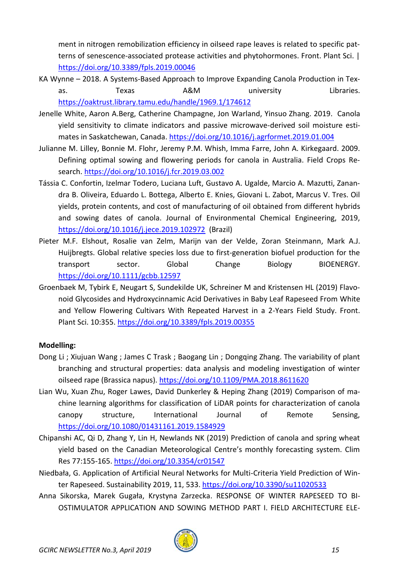ment in nitrogen remobilization efficiency in oilseed rape leaves is related to specific patterns of senescence-associated protease activities and phytohormones. Front. Plant Sci. | <https://doi.org/10.3389/fpls.2019.00046>

- KA Wynne 2018. A Systems-Based Approach to Improve Expanding Canola Production in Texas. Texas A&M university Libraries. <https://oaktrust.library.tamu.edu/handle/1969.1/174612>
- Jenelle White, Aaron A.Berg, Catherine Champagne, Jon Warland, Yinsuo Zhang. 2019. Canola yield sensitivity to climate indicators and passive microwave-derived soil moisture estimates in Saskatchewan, Canada.<https://doi.org/10.1016/j.agrformet.2019.01.004>
- Julianne M. Lilley, Bonnie M. Flohr, Jeremy P.M. Whish, Imma Farre, John A. Kirkegaard. 2009. Defining optimal sowing and flowering periods for canola in Australia. Field Crops Research.<https://doi.org/10.1016/j.fcr.2019.03.002>
- Tássia C. Confortin, Izelmar Todero, Luciana Luft, Gustavo A. Ugalde, Marcio A. Mazutti, Zanandra B. Oliveira, Eduardo L. Bottega, Alberto E. Knies, Giovani L. Zabot, Marcus V. Tres. Oil yields, protein contents, and cost of manufacturing of oil obtained from different hybrids and sowing dates of canola. Journal of Environmental Chemical Engineering, 2019, <https://doi.org/10.1016/j.jece.2019.102972> (Brazil)
- Pieter M.F. Elshout, Rosalie van Zelm, Marijn van der Velde, Zoran Steinmann, Mark A.J. Huijbregts. Global relative species loss due to first‐generation biofuel production for the transport sector. Global Change Biology BIOENERGY. <https://doi.org/10.1111/gcbb.12597>
- Groenbaek M, Tybirk E, Neugart S, Sundekilde UK, Schreiner M and Kristensen HL (2019) Flavonoid Glycosides and Hydroxycinnamic Acid Derivatives in Baby Leaf Rapeseed From White and Yellow Flowering Cultivars With Repeated Harvest in a 2-Years Field Study. Front. Plant Sci. 10:355.<https://doi.org/10.3389/fpls.2019.00355>

## **Modelling:**

- Dong Li ; Xiujuan Wang ; James C Trask ; Baogang Lin ; Dongqing Zhang. The variability of plant branching and structural properties: data analysis and modeling investigation of winter oilseed rape (Brassica napus).<https://doi.org/10.1109/PMA.2018.8611620>
- Lian Wu, Xuan Zhu, Roger Lawes, David Dunkerley & Heping Zhang (2019) Comparison of machine learning algorithms for classification of LiDAR points for characterization of canola canopy structure, International Journal of Remote Sensing, <https://doi.org/10.1080/01431161.2019.1584929>
- Chipanshi AC, Qi D, Zhang Y, Lin H, Newlands NK (2019) Prediction of canola and spring wheat yield based on the Canadian Meteorological Centre's monthly forecasting system. Clim Res 77:155-165.<https://doi.org/10.3354/cr01547>
- Niedbała, G. Application of Artificial Neural Networks for Multi-Criteria Yield Prediction of Winter Rapeseed. Sustainability 2019, 11, 533. <https://doi.org/10.3390/su11020533>
- Anna Sikorska, Marek Gugała, Krystyna Zarzecka. RESPONSE OF WINTER RAPESEED TO BI-OSTIMULATOR APPLICATION AND SOWING METHOD PART I. FIELD ARCHITECTURE ELE-

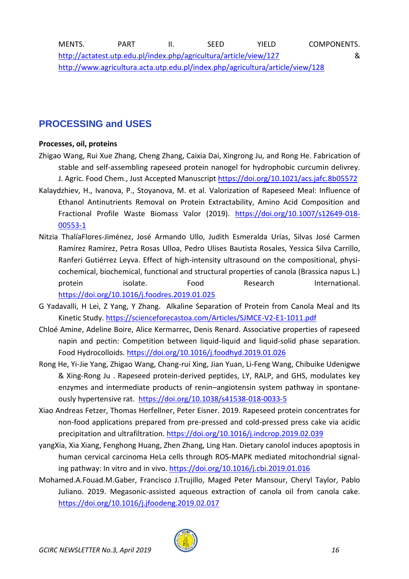## <span id="page-15-0"></span>**PROCESSING and USES**

#### **Processes, oil, proteins**

- Zhigao Wang, Rui Xue Zhang, Cheng Zhang, Caixia Dai, Xingrong Ju, and Rong He. Fabrication of stable and self-assembling rapeseed protein nanogel for hydrophobic curcumin delivrey.
- J. Agric. Food Chem., Just Accepted Manuscript<https://doi.org/10.1021/acs.jafc.8b05572> Kalaydzhiev, H., Ivanova, P., Stoyanova, M. et al. Valorization of Rapeseed Meal: Influence of Ethanol Antinutrients Removal on Protein Extractability, Amino Acid Composition and Fractional Profile Waste Biomass Valor (2019). [https://doi.org/10.1007/s12649-018-](https://doi.org/10.1007/s12649-018-00553-1) [00553-1](https://doi.org/10.1007/s12649-018-00553-1)
- Nitzia ThalíaFlores-Jiménez, José Armando Ullo, Judith Esmeralda Urías, Silvas José Carmen Ramírez Ramírez, Petra Rosas Ulloa, Pedro Ulises Bautista Rosales, Yessica Silva Carrillo, Ranferi Gutiérrez Leyva. Effect of high-intensity ultrasound on the compositional, physicochemical, biochemical, functional and structural properties of canola (Brassica napus L.) protein isolate. Food Research International. <https://doi.org/10.1016/j.foodres.2019.01.025>
- G Yadavalli, H Lei, Z Yang, Y Zhang. Alkaline Separation of Protein from Canola Meal and Its Kinetic Study.<https://scienceforecastoa.com/Articles/SJMCE-V2-E1-1011.pdf>
- Chloé Amine, Adeline Boire, Alice Kermarrec, Denis Renard. Associative properties of rapeseed napin and pectin: Competition between liquid-liquid and liquid-solid phase separation. Food Hydrocolloids.<https://doi.org/10.1016/j.foodhyd.2019.01.026>
- Rong He, Yi-Jie Yang, Zhigao Wang, Chang-rui Xing, Jian Yuan, Li-Feng Wang, Chibuike Udenigwe & Xing-Rong Ju . Rapeseed protein-derived peptides, LY, RALP, and GHS, modulates key enzymes and intermediate products of renin–angiotensin system pathway in spontaneously hypertensive rat.<https://doi.org/10.1038/s41538-018-0033-5>
- Xiao Andreas Fetzer, Thomas Herfellner, Peter Eisner. 2019. Rapeseed protein concentrates for non-food applications prepared from pre-pressed and cold-pressed press cake via acidic precipitation and ultrafiltration.<https://doi.org/10.1016/j.indcrop.2019.02.039>
- yangXia, Xia Xiang, Fenghong Huang, Zhen Zhang, Ling Han. Dietary canolol induces apoptosis in human cervical carcinoma HeLa cells through ROS-MAPK mediated mitochondrial signaling pathway: In vitro and in vivo.<https://doi.org/10.1016/j.cbi.2019.01.016>
- Mohamed.A.Fouad.M.Gaber, Francisco J.Trujillo, Maged Peter Mansour, Cheryl Taylor, Pablo Juliano. 2019. Megasonic-assisted aqueous extraction of canola oil from canola cake. <https://doi.org/10.1016/j.jfoodeng.2019.02.017>

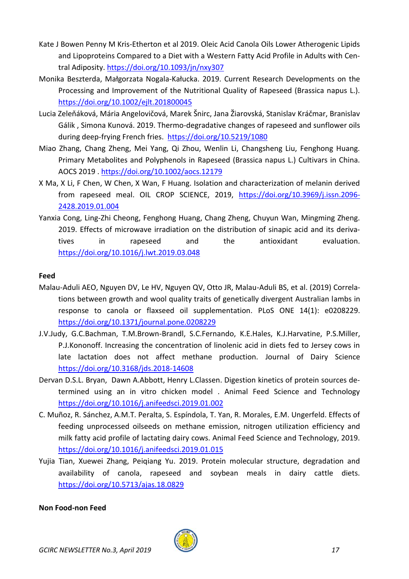- Kate J Bowen Penny M Kris-Etherton et al 2019. Oleic Acid Canola Oils Lower Atherogenic Lipids and Lipoproteins Compared to a Diet with a Western Fatty Acid Profile in Adults with Central Adiposity[. https://doi.org/10.1093/jn/nxy307](https://doi.org/10.1093/jn/nxy307)
- Monika Beszterda, Małgorzata Nogala‐Kałucka. 2019. Current Research Developments on the Processing and Improvement of the Nutritional Quality of Rapeseed (Brassica napus L.). <https://doi.org/10.1002/ejlt.201800045>
- Lucia Zeleňáková, Mária Angelovičová, Marek Šnirc, Jana Žiarovská, Stanislav Kráčmar, Branislav Gálik , Simona Kunová. 2019. Thermo-degradative changes of rapeseed and sunflower oils during deep-frying French fries. <https://doi.org/10.5219/1080>
- Miao Zhang, Chang Zheng, Mei Yang, Qi Zhou, Wenlin Li, Changsheng Liu, Fenghong Huang. Primary Metabolites and Polyphenols in Rapeseed (Brassica napus L.) Cultivars in China. AOCS 2019 .<https://doi.org/10.1002/aocs.12179>
- X Ma, X Li, F Chen, W Chen, X Wan, F Huang. Isolation and characterization of melanin derived from rapeseed meal. OIL CROP SCIENCE, 2019, [https://doi.org/10.3969/j.issn.2096-](https://doi.org/10.3969/j.issn.2096-2428.2019.01.004) [2428.2019.01.004](https://doi.org/10.3969/j.issn.2096-2428.2019.01.004)
- Yanxia Cong, Ling-Zhi Cheong, Fenghong Huang, Chang Zheng, Chuyun Wan, Mingming Zheng. 2019. Effects of microwave irradiation on the distribution of sinapic acid and its derivatives in rapeseed and the antioxidant evaluation. <https://doi.org/10.1016/j.lwt.2019.03.048>

#### **Feed**

- Malau-Aduli AEO, Nguyen DV, Le HV, Nguyen QV, Otto JR, Malau-Aduli BS, et al. (2019) Correlations between growth and wool quality traits of genetically divergent Australian lambs in response to canola or flaxseed oil supplementation. PLoS ONE 14(1): e0208229. <https://doi.org/10.1371/journal.pone.0208229>
- J.V.Judy, G.C.Bachman, T.M.Brown-Brandl, S.C.Fernando, K.E.Hales, K.J.Harvatine, P.S.Miller, P.J.Kononoff. Increasing the concentration of linolenic acid in diets fed to Jersey cows in late lactation does not affect methane production. Journal of Dairy Science <https://doi.org/10.3168/jds.2018-14608>
- Dervan D.S.L. Bryan, Dawn A.Abbott, Henry L.Classen. Digestion kinetics of protein sources determined using an in vitro chicken model . Animal Feed Science and Technology <https://doi.org/10.1016/j.anifeedsci.2019.01.002>
- C. Muñoz, R. Sánchez, A.M.T. Peralta, S. Espíndola, T. Yan, R. Morales, E.M. Ungerfeld. Effects of feeding unprocessed oilseeds on methane emission, nitrogen utilization efficiency and milk fatty acid profile of lactating dairy cows. Animal Feed Science and Technology, 2019. <https://doi.org/10.1016/j.anifeedsci.2019.01.015>
- Yujia Tian, Xuewei Zhang, Peiqiang Yu. 2019. Protein molecular structure, degradation and availability of canola, rapeseed and soybean meals in dairy cattle diets. <https://doi.org/10.5713/ajas.18.0829>

#### **Non Food-non Feed**

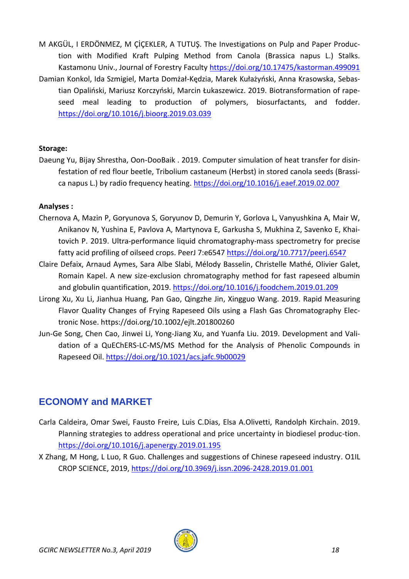M AKGÜL, I ERDÖNMEZ, M ÇİÇEKLER, A TUTUŞ. The Investigations on Pulp and Paper Produc‐ tion with Modified Kraft Pulping Method from Canola (Brassica napus L.) Stalks. Kastamonu Univ., Journal of Forestry Faculty<https://doi.org/10.17475/kastorman.499091> Damian Konkol, Ida Szmigiel, Marta Domżał-Kędzia, Marek Kułażyński, Anna Krasowska, Sebas‐ tian Opaliński, Mariusz Korczyński, Marcin Łukaszewicz. 2019. Biotransformation of rape‐ seed meal leading to production of polymers, biosurfactants, and fodder. <https://doi.org/10.1016/j.bioorg.2019.03.039>

#### **Storage:**

Daeung Yu, Bijay Shrestha, Oon-DooBaik . 2019. Computer simulation of heat transfer for disinfestation of red flour beetle, Tribolium castaneum (Herbst) in stored canola seeds (Brassica napus L.) by radio frequency heating.<https://doi.org/10.1016/j.eaef.2019.02.007>

#### **Analyses :**

- Chernova A, Mazin P, Goryunova S, Goryunov D, Demurin Y, Gorlova L, Vanyushkina A, Mair W, Anikanov N, Yushina E, Pavlova A, Martynova E, Garkusha S, Mukhina Z, Savenko E, Khaitovich P. 2019. Ultra-performance liquid chromatography-mass spectrometry for precise fatty acid profiling of oilseed crops. PeerJ 7:e6547<https://doi.org/10.7717/peerj.6547>
- Claire Defaix, Arnaud Aymes, Sara Albe Slabi, Mélody Basselin, Christelle Mathé, Olivier Galet, Romain Kapel. A new size-exclusion chromatography method for fast rapeseed albumin and globulin quantification, 2019.<https://doi.org/10.1016/j.foodchem.2019.01.209>
- Lirong Xu, Xu Li, Jianhua Huang, Pan Gao, Qingzhe Jin, Xingguo Wang. 2019. Rapid Measuring Flavor Quality Changes of Frying Rapeseed Oils using a Flash Gas Chromatography Electronic Nose. https://doi.org/10.1002/ejlt.201800260
- Jun-Ge Song, Chen Cao, Jinwei Li, Yong-Jiang Xu, and Yuanfa Liu. 2019. Development and Validation of a QuEChERS-LC-MS/MS Method for the Analysis of Phenolic Compounds in Rapeseed Oil.<https://doi.org/10.1021/acs.jafc.9b00029>

## <span id="page-17-0"></span>**ECONOMY and MARKET**

- Carla Caldeira, Omar Swei, Fausto Freire, Luis C.Dias, Elsa A.Olivetti, Randolph Kirchain. 2019. Planning strategies to address operational and price uncertainty in biodiesel produc-tion. <https://doi.org/10.1016/j.apenergy.2019.01.195>
- X Zhang, M Hong, L Luo, R Guo. Challenges and suggestions of Chinese rapeseed industry. O1IL CROP SCIENCE, 2019,<https://doi.org/10.3969/j.issn.2096-2428.2019.01.001>

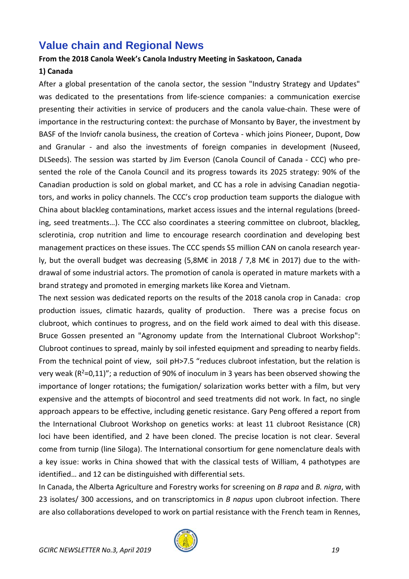## <span id="page-18-0"></span>**Value chain and Regional News**

#### **From the 2018 Canola Week's Canola Industry Meeting in Saskatoon, Canada**

#### **1) Canada**

After a global presentation of the canola sector, the session "Industry Strategy and Updates" was dedicated to the presentations from life-science companies: a communication exercise presenting their activities in service of producers and the canola value-chain. These were of importance in the restructuring context: the purchase of Monsanto by Bayer, the investment by BASF of the Inviofr canola business, the creation of Corteva - which joins Pioneer, Dupont, Dow and Granular - and also the investments of foreign companies in development (Nuseed, DLSeeds). The session was started by Jim Everson (Canola Council of Canada - CCC) who presented the role of the Canola Council and its progress towards its 2025 strategy: 90% of the Canadian production is sold on global market, and CC has a role in advising Canadian negotiators, and works in policy channels. The CCC's crop production team supports the dialogue with China about blackleg contaminations, market access issues and the internal regulations (breeding, seed treatments…). The CCC also coordinates a steering committee on clubroot, blackleg, sclerotinia, crop nutrition and lime to encourage research coordination and developing best management practices on these issues. The CCC spends S5 million CAN on canola research yearly, but the overall budget was decreasing (5,8M€ in 2018 / 7,8 M€ in 2017) due to the withdrawal of some industrial actors. The promotion of canola is operated in mature markets with a brand strategy and promoted in emerging markets like Korea and Vietnam.

The next session was dedicated reports on the results of the 2018 canola crop in Canada: crop production issues, climatic hazards, quality of production. There was a precise focus on clubroot, which continues to progress, and on the field work aimed to deal with this disease. Bruce Gossen presented an "Agronomy update from the International Clubroot Workshop": Clubroot continues to spread, mainly by soil infested equipment and spreading to nearby fields. From the technical point of view, soil pH>7.5 "reduces clubroot infestation, but the relation is very weak ( $R^2=0.11$ )"; a reduction of 90% of inoculum in 3 years has been observed showing the importance of longer rotations; the fumigation/ solarization works better with a film, but very expensive and the attempts of biocontrol and seed treatments did not work. In fact, no single approach appears to be effective, including genetic resistance. Gary Peng offered a report from the International Clubroot Workshop on genetics works: at least 11 clubroot Resistance (CR) loci have been identified, and 2 have been cloned. The precise location is not clear. Several come from turnip (line Siloga). The International consortium for gene nomenclature deals with a key issue: works in China showed that with the classical tests of William, 4 pathotypes are identified… and 12 can be distinguished with differential sets.

In Canada, the Alberta Agriculture and Forestry works for screening on *B rapa* and *B. nigra*, with 23 isolates/ 300 accessions, and on transcriptomics in *B napus* upon clubroot infection. There are also collaborations developed to work on partial resistance with the French team in Rennes,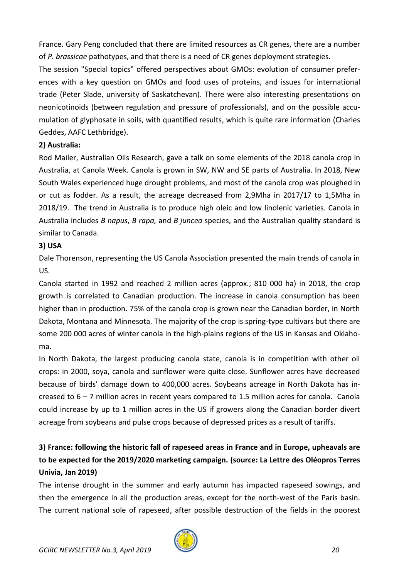France. Gary Peng concluded that there are limited resources as CR genes, there are a number of *P. brassicae* pathotypes, and that there is a need of CR genes deployment strategies.

The session "Special topics" offered perspectives about GMOs: evolution of consumer preferences with a key question on GMOs and food uses of proteins, and issues for international trade (Peter Slade, university of Saskatchevan). There were also interesting presentations on neonicotinoids (between regulation and pressure of professionals), and on the possible accumulation of glyphosate in soils, with quantified results, which is quite rare information (Charles Geddes, AAFC Lethbridge).

#### **2) Australia:**

Rod Mailer, Australian Oils Research, gave a talk on some elements of the 2018 canola crop in Australia, at Canola Week. Canola is grown in SW, NW and SE parts of Australia. In 2018, New South Wales experienced huge drought problems, and most of the canola crop was ploughed in or cut as fodder. As a result, the acreage decreased from 2,9Mha in 2017/17 to 1,5Mha in 2018/19. The trend in Australia is to produce high oleic and low linolenic varieties. Canola in Australia includes *B napus*, *B rapa,* and *B juncea* species, and the Australian quality standard is similar to Canada.

## **3) USA**

Dale Thorenson, representing the US Canola Association presented the main trends of canola in US.

Canola started in 1992 and reached 2 million acres (approx.; 810 000 ha) in 2018, the crop growth is correlated to Canadian production. The increase in canola consumption has been higher than in production. 75% of the canola crop is grown near the Canadian border, in North Dakota, Montana and Minnesota. The majority of the crop is spring-type cultivars but there are some 200 000 acres of winter canola in the high-plains regions of the US in Kansas and Oklahoma.

In North Dakota, the largest producing canola state, canola is in competition with other oil crops: in 2000, soya, canola and sunflower were quite close. Sunflower acres have decreased because of birds' damage down to 400,000 acres. Soybeans acreage in North Dakota has increased to 6 – 7 million acres in recent years compared to 1.5 million acres for canola. Canola could increase by up to 1 million acres in the US if growers along the Canadian border divert acreage from soybeans and pulse crops because of depressed prices as a result of tariffs.

## **3) France: following the historic fall of rapeseed areas in France and in Europe, upheavals are to be expected for the 2019/2020 marketing campaign. (source: La Lettre des Oléopros Terres Univia, Jan 2019)**

The intense drought in the summer and early autumn has impacted rapeseed sowings, and then the emergence in all the production areas, except for the north-west of the Paris basin. The current national sole of rapeseed, after possible destruction of the fields in the poorest

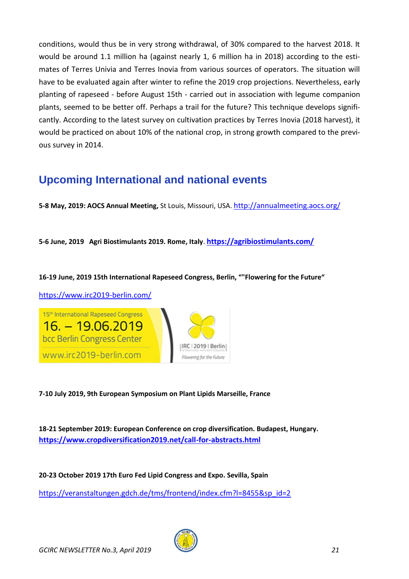conditions, would thus be in very strong withdrawal, of 30% compared to the harvest 2018. It would be around 1.1 million ha (against nearly 1, 6 million ha in 2018) according to the estimates of Terres Univia and Terres Inovia from various sources of operators. The situation will have to be evaluated again after winter to refine the 2019 crop projections. Nevertheless, early planting of rapeseed - before August 15th - carried out in association with legume companion plants, seemed to be better off. Perhaps a trail for the future? This technique develops significantly. According to the latest survey on cultivation practices by Terres Inovia (2018 harvest), it would be practiced on about 10% of the national crop, in strong growth compared to the previous survey in 2014.

# <span id="page-20-0"></span>**Upcoming International and national events**

**5-8 May, 2019: AOCS Annual Meeting,** St Louis, Missouri, USA. <http://annualmeeting.aocs.org/>

**5-6 June, 2019 Agri Biostimulants 2019. Rome, Italy**. **<https://agribiostimulants.com/>**

#### **16-19 June, 2019 15th International Rapeseed Congress, Berlin, ""Flowering for the Future"**

<https://www.irc2019-berlin.com/>





**7-10 July 2019, 9th European Symposium on Plant Lipids Marseille, France**

**18-21 September 2019: European Conference on crop diversification. Budapest, Hungary. <https://www.cropdiversification2019.net/call-for-abstracts.html>**

**20-23 October 2019 17th Euro Fed Lipid Congress and Expo. Sevilla, Spain** [https://veranstaltungen.gdch.de/tms/frontend/index.cfm?l=8455&sp\\_id=2](https://veranstaltungen.gdch.de/tms/frontend/index.cfm?l=8455&sp_id=2)